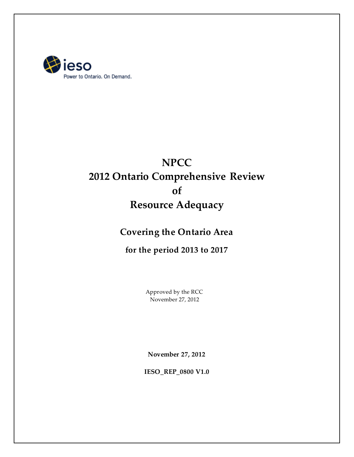

# **NPCC 2012 Ontario Comprehensive Review of Resource Adequacy**

# **Covering the Ontario Area**

**for the period 2013 to 2017**

Approved by the RCC November 27, 2012

**November 27, 2012**

**IESO\_REP\_0800 V1.0**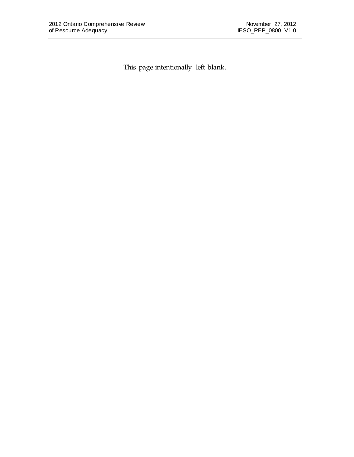This page intentionally left blank.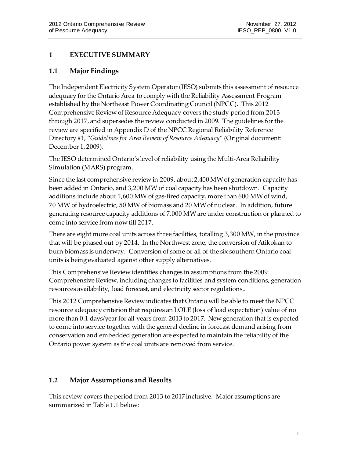# **1 EXECUTIVE SUMMARY**

### **1.1 Major Findings**

The Independent Electricity System Operator (IESO) submits this assessment of resource adequacy for the Ontario Area to comply with the Reliability Assessment Program established by the Northeast Power Coordinating Council (NPCC). This 2012 Comprehensive Review of Resource Adequacy covers the study period from 2013 through 2017, and supersedes the review conducted in 2009. The guidelines for the review are specified in Appendix D of the NPCC Regional Reliability Reference Directory #1, "*Guidelines for Area Review of Resource Adequacy"* (Original document: December 1, 2009).

The IESO determined Ontario's level of reliability using the Multi-Area Reliability Simulation (MARS) program.

Since the last comprehensive review in 2009, about 2,400 MW of generation capacity has been added in Ontario, and 3,200 MW of coal capacity has been shutdown. Capacity additions include about 1,600 MW of gas-fired capacity, more than 600 MW of wind, 70 MW of hydroelectric, 50 MW of biomass and 20 MW of nuclear. In addition, future generating resource capacity additions of 7,000 MW are under construction or planned to come into service from now till 2017.

There are eight more coal units across three facilities, totalling 3,300 MW, in the province that will be phased out by 2014. In the Northwest zone, the conversion of Atikokan to burn biomass is underway. Conversion of some or all of the six southern Ontario coal units is being evaluated against other supply alternatives.

This Comprehensive Review identifies changes in assumptions from the 2009 Comprehensive Review, including changes to facilities and system conditions, generation resources availability, load forecast, and electricity sector regulations..

This 2012 Comprehensive Review indicates that Ontario will be able to meet the NPCC resource adequacy criterion that requires an LOLE (loss of load expectation) value of no more than 0.1 days/year for all years from 2013 to 2017. New generation that is expected to come into service together with the general decline in forecast demand arising from conservation and embedded generation are expected to maintain the reliability of the Ontario power system as the coal units are removed from service.

# **1.2 Major Assumptions and Results**

This review covers the period from 2013 to 2017 inclusive. Major assumptions are summarized in Table 1.1 below: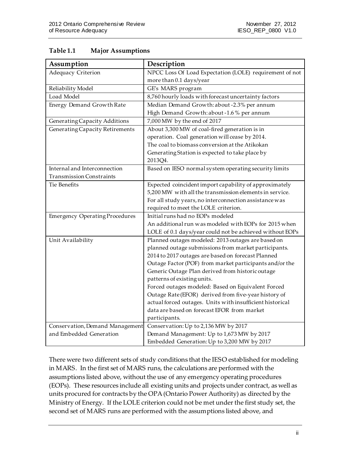| Assumption                            | Description                                               |
|---------------------------------------|-----------------------------------------------------------|
| Adequacy Criterion                    | NPCC Loss Of Load Expectation (LOLE) requirement of not   |
|                                       | more than 0.1 days/year                                   |
| Reliability Model                     | GE's MARS program                                         |
| Load Model                            | 8,760 hourly loads with forecast uncertainty factors      |
| Energy Demand Growth Rate             | Median Demand Growth: about -2.3% per annum               |
|                                       | High Demand Growth: about -1.6 % per annum                |
| Generating Capacity Additions         | 7,000 MW by the end of 2017                               |
| Generating Capacity Retirements       | About 3,300 MW of coal-fired generation is in             |
|                                       | operation. Coal generation will cease by 2014.            |
|                                       | The coal to biomass conversion at the Atikokan            |
|                                       | Generating Station is expected to take place by           |
|                                       | 2013Q4.                                                   |
| Internal and Interconnection          | Based on IESO normal system operating security limits     |
| <b>Transmission Constraints</b>       |                                                           |
| Tie Benefits                          | Expected coincident import capability of approximately    |
|                                       | 5,200 MW with all the transmission elements in service.   |
|                                       | For all study years, no interconnection assistance was    |
|                                       | required to meet the LOLE criterion.                      |
| <b>Emergency Operating Procedures</b> | Initial runs had no EOPs modeled                          |
|                                       | An additional run was modeled with EOPs for 2015 when     |
|                                       | LOLE of 0.1 days/year could not be achieved without EOPs  |
| Unit Availability                     | Planned outages modeled: 2013 outages are based on        |
|                                       | planned outage submissions from market participants.      |
|                                       | 2014 to 2017 outages are based on forecast Planned        |
|                                       | Outage Factor (POF) from market participants and/or the   |
|                                       | Generic Outage Plan derived from historic outage          |
|                                       | patterns of existing units.                               |
|                                       | Forced outages modeled: Based on Equivalent Forced        |
|                                       | Outage Rate (EFOR) derived from five-year history of      |
|                                       | actual forced outages. Units with insufficient historical |
|                                       | data are based on forecast EFOR from market               |
|                                       | participants.                                             |
| Conservation, Demand Management       | Conservation: Up to 2,136 MW by 2017                      |
| and Embedded Generation               | Demand Management: Up to 1,673 MW by 2017                 |
|                                       | Embedded Generation: Up to 3,200 MW by 2017               |

#### **Table 1.1 Major Assumptions**

There were two different sets of study conditions that the IESO established for modeling in MARS. In the first set of MARS runs, the calculations are performed with the assumptions listed above, without the use of any emergency operating procedures (EOPs). These resources include all existing units and projects under contract, as well as units procured for contracts by the OPA (Ontario Power Authority) as directed by the Ministry of Energy. If the LOLE criterion could not be met under the first study set, the second set of MARS runs are performed with the assumptions listed above, and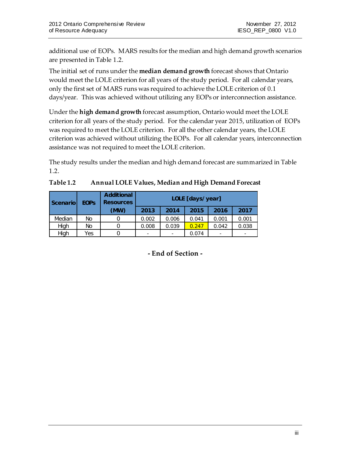additional use of EOPs. MARS results for the median and high demand growth scenarios are presented in Table 1.2.

The initial set of runs under the **median demand growth** forecast shows that Ontario would meet the LOLE criterion for all years of the study period. For all calendar years, only the first set of MARS runs was required to achieve the LOLE criterion of 0.1 days/year. This was achieved without utilizing any EOPs or interconnection assistance.

Under the **high demand growth** forecast assumption, Ontario would meet the LOLE criterion for all years of the study period. For the calendar year 2015, utilization of EOPs was required to meet the LOLE criterion. For all the other calendar years, the LOLE criterion was achieved without utilizing the EOPs. For all calendar years, interconnection assistance was not required to meet the LOLE criterion.

The study results under the median and high demand forecast are summarized in Table 1.2.

| <b>Scenario</b> | <b>EOPS</b> | <b>Additional</b><br><b>Resources</b> | LOLE [days/year] |        |       |       |       |  |
|-----------------|-------------|---------------------------------------|------------------|--------|-------|-------|-------|--|
|                 |             | (MW)                                  | 2013             | 2014   | 2015  | 2016  | 2017  |  |
| Median          | <b>No</b>   |                                       | 0.002            | 0.006  | 0.041 | 0.001 | 0.001 |  |
| High            | No          |                                       | 0.008            | 0.039  | 0.247 | 0.042 | 0.038 |  |
| High            | Yes         |                                       | ۰                | $\sim$ | 0.074 | ۰.    |       |  |

| Table 1.2 | Annual LOLE Values, Median and High Demand Forecast |
|-----------|-----------------------------------------------------|
|-----------|-----------------------------------------------------|

**- End of Section -**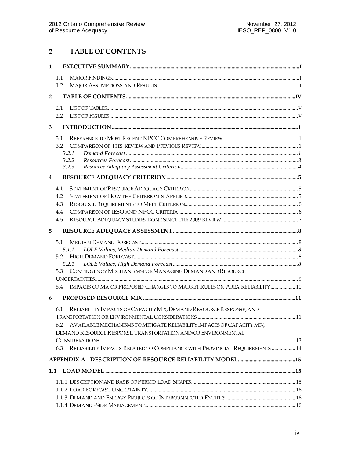#### $\overline{2}$ **TABLE OF CONTENTS**

| 1              |                                                                                   |  |
|----------------|-----------------------------------------------------------------------------------|--|
|                | 1.1                                                                               |  |
|                | 1.2                                                                               |  |
| $\overline{2}$ |                                                                                   |  |
|                | 2.1                                                                               |  |
|                | 2.2                                                                               |  |
| 3              |                                                                                   |  |
|                | 3.1                                                                               |  |
|                | 3.2                                                                               |  |
|                | 3.2.1                                                                             |  |
|                | 3.2.2                                                                             |  |
|                | 3.2.3                                                                             |  |
| 4              |                                                                                   |  |
|                | 4.1                                                                               |  |
|                | 4.2                                                                               |  |
|                | 4.3                                                                               |  |
|                | 4.4                                                                               |  |
|                | 4.5                                                                               |  |
| 5              |                                                                                   |  |
|                | 5.1                                                                               |  |
|                | 5.1.1                                                                             |  |
|                | 5.2                                                                               |  |
|                | 5.2.1                                                                             |  |
|                | CONTINGENCY MECHANISMS FOR MANAGING DEMAND AND RESOURCE<br>5.3                    |  |
|                | IMPACTS OF MAJOR PROPOSED CHANGES TO MARKET RULES ON AREA RELIABILITY 10<br>5.4   |  |
| 6              |                                                                                   |  |
|                | RELIABILITY IMPACTS OF CAPACITY MIX, DEMAND RESOURCE RESPONSE, AND<br>6.1         |  |
|                |                                                                                   |  |
|                | AVAILABLE MECHANISMS TO MITIGATE RELIABILITY IMPACTS OF CAPACITY MIX,<br>6.2      |  |
|                | DEMAND RESOURCE RESPONSE, TRANSPORTATION AND/OR ENVIRONMENTAL                     |  |
|                |                                                                                   |  |
|                | RELIABILITY IMPACTS RELATED TO COMPLIANCE WITH PROVINCIAL REQUIREMENTS  14<br>6.3 |  |
|                |                                                                                   |  |
| 1.1            |                                                                                   |  |
|                |                                                                                   |  |
|                |                                                                                   |  |
|                |                                                                                   |  |
|                |                                                                                   |  |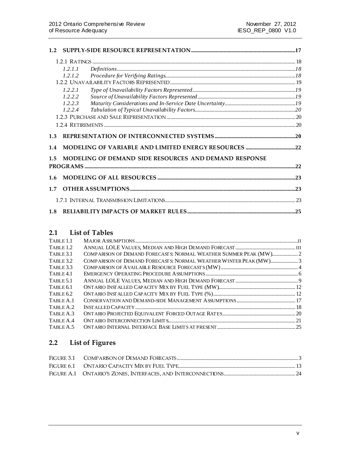|     | 1.2.1.1 |                                                       |  |
|-----|---------|-------------------------------------------------------|--|
|     | 1.2.1.2 |                                                       |  |
|     |         |                                                       |  |
|     | 1.2.2.1 |                                                       |  |
|     | 1.2.2.2 |                                                       |  |
|     | 1.2.2.3 |                                                       |  |
|     | 1.2.2.4 |                                                       |  |
|     |         |                                                       |  |
|     |         |                                                       |  |
|     |         |                                                       |  |
| 1.3 |         |                                                       |  |
| 1.4 |         |                                                       |  |
| 1.5 |         | MODELING OF DEMAND SIDE RESOURCES AND DEMAND RESPONSE |  |
|     |         |                                                       |  |
| 1.6 |         |                                                       |  |
| 1.7 |         |                                                       |  |
|     |         |                                                       |  |

# **2.1 List of Tables**

| TABLE <sub>1.1</sub>                                                          |  |
|-------------------------------------------------------------------------------|--|
| TABLE <sub>1.2</sub>                                                          |  |
| COMPARISON OF DEMAND FORECASTS: NORMAL WEATHER SUMMER PEAK (MW)2<br>TABLE 3.1 |  |
| COMPARISON OF DEMAND FORECASTS: NORMAL WEATHER WINTER PEAK (MW)3<br>TABLE 3.2 |  |
| TABLE 3.3                                                                     |  |
| TABLE <sub>4.1</sub>                                                          |  |
| TABLE 5.1                                                                     |  |
| TABLE <sub>6.1</sub>                                                          |  |
| TABLE <sub>6.2</sub>                                                          |  |
| TABLE A.1                                                                     |  |
| TABLE A.2                                                                     |  |
| TABLE A.3                                                                     |  |
| TABLE A.4                                                                     |  |
| TABLE A.5                                                                     |  |

# **2.2 List of Figures**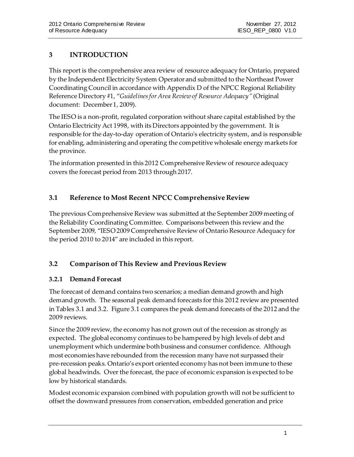# **3 INTRODUCTION**

This report is the comprehensive area review of resource adequacy for Ontario, prepared by the Independent Electricity System Operator and submitted to the Northeast Power Coordinating Council in accordance with Appendix D of the NPCC Regional Reliability Reference Directory #1, "*Guidelines for Area Review of Resource Adequacy"* (Original document: December 1, 2009).

The IESO is a non-profit, regulated corporation without share capital established by the Ontario Electricity Act 1998, with its Directors appointed by the government. It is responsible for the day-to-day operation of Ontario's electricity system, and is responsible for enabling, administering and operating the competitive wholesale energy markets for the province.

The information presented in this 2012 Comprehensive Review of resource adequacy covers the forecast period from 2013 through 2017.

# **3.1 Reference to Most Recent NPCC Comprehensive Review**

The previous Comprehensive Review was submitted at the September 2009 meeting of the Reliability Coordinating Committee. Comparisons between this review and the September 2009, "IESO 2009 Comprehensive Review of Ontario Resource Adequacy for the period 2010 to 2014" are included in this report.

# **3.2 Comparison of This Review and Previous Review**

# **3.2.1 Demand Forecast**

The forecast of demand contains two scenarios; a median demand growth and high demand growth. The seasonal peak demand forecasts for this 2012 review are presented in Tables 3.1 and 3.2. Figure 3.1 compares the peak demand forecasts of the 2012 and the 2009 reviews.

Since the 2009 review, the economy has not grown out of the recession as strongly as expected. The global economy continues to be hampered by high levels of debt and unemployment which undermine both business and consumer confidence. Although most economies have rebounded from the recession many have not surpassed their pre-recession peaks. Ontario's export oriented economy has not been immune to these global headwinds. Over the forecast, the pace of economic expansion is expected to be low by historical standards.

Modest economic expansion combined with population growth will not be sufficient to offset the downward pressures from conservation, embedded generation and price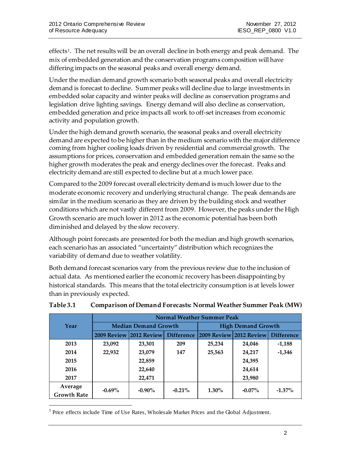effects<sup>[1](#page-8-0)</sup>. The net results will be an overall decline in both energy and peak demand. The mix of embedded generation and the conservation programs composition will have differing impacts on the seasonal peaks and overall energy demand.

Under the median demand growth scenario both seasonal peaks and overall electricity demand is forecast to decline. Summer peaks will decline due to large investments in embedded solar capacity and winter peaks will decline as conservation programs and legislation drive lighting savings. Energy demand will also decline as conservation, embedded generation and price impacts all work to off-set increases from economic activity and population growth.

Under the high demand growth scenario, the seasonal peaks and overall electricity demand are expected to be higher than in the medium scenario with the major difference coming from higher cooling loads driven by residential and commercial growth. The assumptions for prices, conservation and embedded generation remain the same so the higher growth moderates the peak and energy declines over the forecast. Peaks and electricity demand are still expected to decline but at a much lower pace.

Compared to the 2009 forecast overall electricity demand is much lower due to the moderate economic recovery and underlying structural change. The peak demands are similar in the medium scenario as they are driven by the building stock and weather conditions which are not vastly different from 2009. However, the peaks under the High Growth scenario are much lower in 2012 as the economic potential has been both diminished and delayed by the slow recovery.

Although point forecasts are presented for both the median and high growth scenarios, each scenario has an associated "uncertainty" distribution which recognizes the variability of demand due to weather volatility.

Both demand forecast scenarios vary from the previous review due to the inclusion of actual data. As mentioned earlier the economic recovery has been disappointing by historical standards. This means that the total electricity consumption is at levels lower than in previously expected.

|                               | <b>Normal Weather Summer Peak</b> |                             |                   |                           |                         |                   |
|-------------------------------|-----------------------------------|-----------------------------|-------------------|---------------------------|-------------------------|-------------------|
| Year                          |                                   | <b>Median Demand Growth</b> |                   | <b>High Demand Growth</b> |                         |                   |
|                               | 2009 Review                       | 2012 Review                 | <b>Difference</b> |                           | 2009 Review 2012 Review | <b>Difference</b> |
| 2013                          | 23,092                            | 23,301                      | 209               | 25,234                    | 24,046                  | $-1,188$          |
| 2014                          | 22,932                            | 23,079                      | 147               | 25,563                    | 24,217                  | $-1,346$          |
| 2015                          |                                   | 22,859                      |                   |                           | 24,395                  |                   |
| 2016                          |                                   | 22,640                      |                   |                           | 24,614                  |                   |
| 2017                          |                                   | 22,471                      |                   |                           | 23,980                  |                   |
| Average<br><b>Growth Rate</b> | $-0.69\%$                         | $-0.90\%$                   | $-0.21\%$         | $1.30\%$                  | $-0.07\%$               | $-1.37\%$         |

# **Table 3.1 Comparison of Demand Forecasts: Normal Weather Summer Peak (MW)**

<span id="page-8-0"></span> $\overline{a}$ <sup>1</sup> Price effects include Time of Use Rates, Wholesale Market Prices and the Global Adjustment.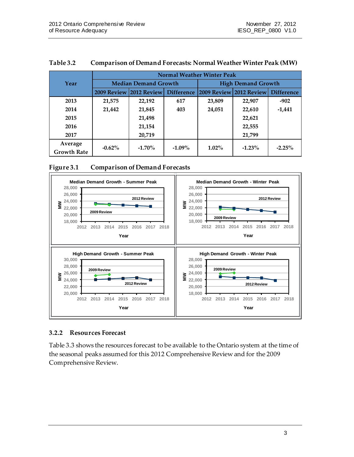|                               | <b>Normal Weather Winter Peak</b> |                             |                           |          |                         |                   |
|-------------------------------|-----------------------------------|-----------------------------|---------------------------|----------|-------------------------|-------------------|
| Year                          |                                   | <b>Median Demand Growth</b> | <b>High Demand Growth</b> |          |                         |                   |
|                               |                                   | 2009 Review 2012 Review     | <b>Difference</b>         |          | 2009 Review 2012 Review | <b>Difference</b> |
| 2013                          | 21,575                            | 22,192                      | 617                       | 23,809   | 22,907                  | $-902$            |
| 2014                          | 21,442                            | 21,845                      | 403                       | 24,051   | 22,610                  | $-1,441$          |
| 2015                          |                                   | 21,498                      |                           |          | 22,621                  |                   |
| 2016                          |                                   | 21,154                      |                           |          | 22,555                  |                   |
| 2017                          |                                   | 20,719                      |                           |          | 21,799                  |                   |
| Average<br><b>Growth Rate</b> | $-0.62\%$                         | $-1.70\%$                   | $-1.09\%$                 | $1.02\%$ | $-1.23\%$               | $-2.25%$          |

| Table 3.2 | Comparison of Demand Forecasts: Normal Weather Winter Peak (MW) |
|-----------|-----------------------------------------------------------------|
|           |                                                                 |

| Figure 3.1 | <b>Comparison of Demand Forecasts</b> |
|------------|---------------------------------------|
|            |                                       |



#### **3.2.2 Resources Forecast**

Table 3.3 shows the resources forecast to be available to the Ontario system at the time of the seasonal peaks assumed for this 2012 Comprehensive Review and for the 2009 Comprehensive Review.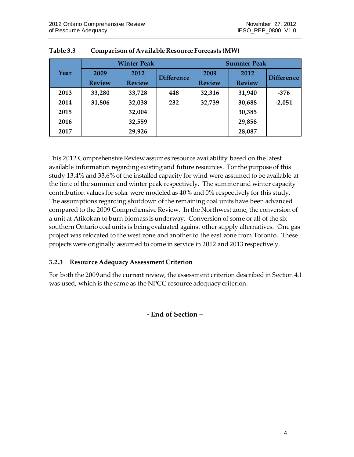| <b>Winter Peak</b> |               |               |                   | <b>Summer Peak</b> |               |            |  |
|--------------------|---------------|---------------|-------------------|--------------------|---------------|------------|--|
| Year               | 2009          | 2012          | <b>Difference</b> | 2009               | 2012          | Difference |  |
|                    | <b>Review</b> | <b>Review</b> |                   | <b>Review</b>      | <b>Review</b> |            |  |
| 2013               | 33,280        | 33,728        | 448               | 32,316             | 31,940        | $-376$     |  |
| 2014               | 31,806        | 32,038        | 232               | 32,739             | 30,688        | $-2,051$   |  |
| 2015               |               | 32,004        |                   |                    | 30,385        |            |  |
| 2016               |               | 32,559        |                   |                    | 29,858        |            |  |
| 2017               |               | 29,926        |                   |                    | 28,087        |            |  |

**Table 3.3 Comparison of Available Resource Forecasts (MW)** 

This 2012 Comprehensive Review assumes resource availability based on the latest available information regarding existing and future resources. For the purpose of this study 13.4% and 33.6% of the installed capacity for wind were assumed to be available at the time of the summer and winter peak respectively. The summer and winter capacity contribution values for solar were modeled as 40% and 0% respectively for this study. The assumptions regarding shutdown of the remaining coal units have been advanced compared to the 2009 Comprehensive Review. In the Northwest zone, the conversion of a unit at Atikokan to burn biomass is underway. Conversion of some or all of the six southern Ontario coal units is being evaluated against other supply alternatives. One gas project was relocated to the west zone and another to the east zone from Toronto. These projects were originally assumed to come in service in 2012 and 2013 respectively.

# **3.2.3 Resource Adequacy Assessment Criterion**

For both the 2009 and the current review, the assessment criterion described in Section 4.1 was used, which is the same as the NPCC resource adequacy criterion.

**- End of Section –**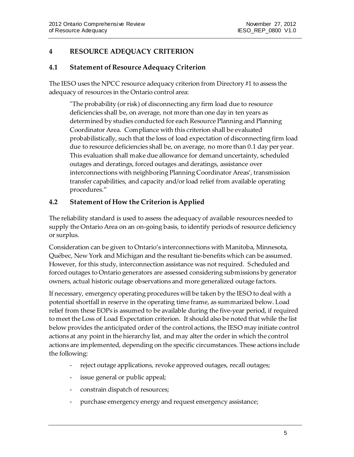# **4 RESOURCE ADEQUACY CRITERION**

#### **4.1 Statement of Resource Adequacy Criterion**

The IESO uses the NPCC resource adequacy criterion from Directory #1 to assess the adequacy of resources in the Ontario control area:

"The probability (or risk) of disconnecting any firm load due to resource deficiencies shall be, on average, not more than one day in ten years as determined by studies conducted for each Resource Planning and Planning Coordinator Area. Compliance with this criterion shall be evaluated probabilistically, such that the loss of load expectation of disconnecting firm load due to resource deficiencies shall be, on average, no more than 0.1 day per year. This evaluation shall make due allowance for demand uncertainty, scheduled outages and deratings, forced outages and deratings, assistance over interconnections with neighboring Planning Coordinator Areas', transmission transfer capabilities, and capacity and/or load relief from available operating procedures."

# **4.2 Statement of How the Criterion is Applied**

The reliability standard is used to assess the adequacy of available resources needed to supply the Ontario Area on an on-going basis, to identify periods of resource deficiency or surplus.

Consideration can be given to Ontario's interconnections with Manitoba, Minnesota, Québec, New York and Michigan and the resultant tie-benefits which can be assumed. However, for this study, interconnection assistance was not required. Scheduled and forced outages to Ontario generators are assessed considering submissions by generator owners, actual historic outage observations and more generalized outage factors.

If necessary, emergency operating procedures will be taken by the IESO to deal with a potential shortfall in reserve in the operating time frame, as summarized below. Load relief from these EOPs is assumed to be available during the five-year period, if required to meet the Loss of Load Expectation criterion. It should also be noted that while the list below provides the anticipated order of the control actions, the IESO may initiate control actions at any point in the hierarchy list, and may alter the order in which the control actions are implemented, depending on the specific circumstances. These actions include the following:

- reject outage applications, revoke approved outages, recall outages;
- issue general or public appeal;
- constrain dispatch of resources;
- purchase emergency energy and request emergency assistance;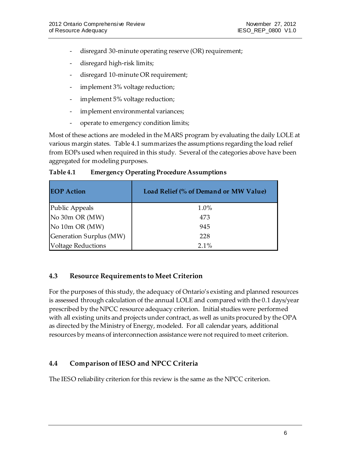- disregard 30-minute operating reserve (OR) requirement;
- disregard high-risk limits;
- disregard 10-minute OR requirement;
- implement 3% voltage reduction;
- implement 5% voltage reduction;
- implement environmental variances;
- operate to emergency condition limits;

Most of these actions are modeled in the MARS program by evaluating the daily LOLE at various margin states. Table 4.1 summarizes the assumptions regarding the load relief from EOPs used when required in this study. Several of the categories above have been aggregated for modeling purposes.

| TUDIC I.L<br>Enici gency Operating Froceaure Assumptions |  |                                       |
|----------------------------------------------------------|--|---------------------------------------|
| <b>EOP Action</b>                                        |  | Load Relief (% of Demand or MW Value) |
| Public Appeals                                           |  | 1.0\%                                 |

**Table 4.1 Emergency Operating Procedure Assumptions**

# **4.3 Resource Requirements to Meet Criterion**

No 30m OR (MW) 273 No 10m OR (MW) 945 Generation Surplus (MW) 228 Voltage Reductions  $2.1\%$ 

For the purposes of this study, the adequacy of Ontario's existing and planned resources is assessed through calculation of the annual LOLE and compared with the 0.1 days/year prescribed by the NPCC resource adequacy criterion. Initial studies were performed with all existing units and projects under contract, as well as units procured by the OPA as directed by the Ministry of Energy, modeled. For all calendar years, additional resources by means of interconnection assistance were not required to meet criterion.

# **4.4 Comparison of IESO and NPCC Criteria**

The IESO reliability criterion for this review is the same as the NPCC criterion.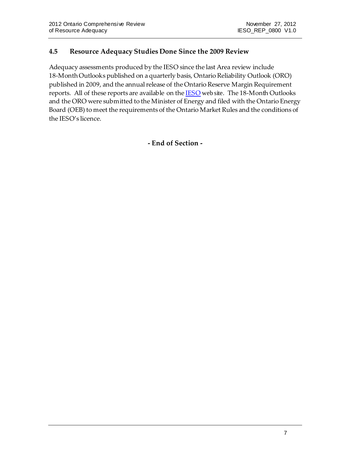# **4.5 Resource Adequacy Studies Done Since the 2009 Review**

Adequacy assessments produced by the IESO since the last Area review include 18-Month Outlooks published on a quarterly basis, Ontario Reliability Outlook (ORO) published in 2009, and the annual release of the Ontario Reserve Margin Requirement reports. All of these reports are available on the **IESO** web site. The 18-Month Outlooks and the ORO were submitted to the Minister of Energy and filed with the Ontario Energy Board (OEB) to meet the requirements of the Ontario Market Rules and the conditions of the IESO's licence.

**- End of Section -**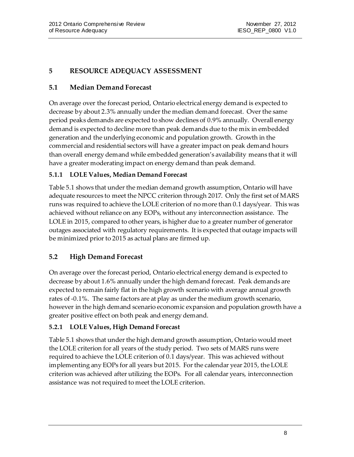# **5 RESOURCE ADEQUACY ASSESSMENT**

# **5.1 Median Demand Forecast**

On average over the forecast period, Ontario electrical energy demand is expected to decrease by about 2.3% annually under the median demand forecast. Over the same period peaks demands are expected to show declines of 0.9% annually. Overall energy demand is expected to decline more than peak demands due to the mix in embedded generation and the underlying economic and population growth. Growth in the commercial and residential sectors will have a greater impact on peak demand hours than overall energy demand while embedded generation's availability means that it will have a greater moderating impact on energy demand than peak demand.

# **5.1.1 LOLE Values, Median Demand Forecast**

Table 5.1 shows that under the median demand growth assumption, Ontario will have adequate resources to meet the NPCC criterion through 2017. Only the first set of MARS runs was required to achieve the LOLE criterion of no more than 0.1 days/year. This was achieved without reliance on any EOPs, without any interconnection assistance. The LOLE in 2015, compared to other years, is higher due to a greater number of generator outages associated with regulatory requirements. It is expected that outage impacts will be minimized prior to 2015 as actual plans are firmed up.

# **5.2 High Demand Forecast**

On average over the forecast period, Ontario electrical energy demand is expected to decrease by about 1.6% annually under the high demand forecast. Peak demands are expected to remain fairly flat in the high growth scenario with average annual growth rates of -0.1%. The same factors are at play as under the medium growth scenario, however in the high demand scenario economic expansion and population growth have a greater positive effect on both peak and energy demand.

#### **5.2.1 LOLE Values, High Demand Forecast**

Table 5.1 shows that under the high demand growth assumption, Ontario would meet the LOLE criterion for all years of the study period. Two sets of MARS runs were required to achieve the LOLE criterion of 0.1 days/year. This was achieved without implementing any EOPs for all years but 2015. For the calendar year 2015, the LOLE criterion was achieved after utilizing the EOPs. For all calendar years, interconnection assistance was not required to meet the LOLE criterion.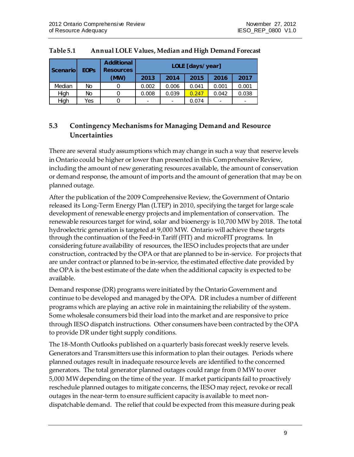| <b>Scenario</b> | <b>EOPS</b> | <b>Additional</b><br><b>Resources</b> |       |       | LOLE [days/year] |       |       |
|-----------------|-------------|---------------------------------------|-------|-------|------------------|-------|-------|
|                 |             | (MW)                                  | 2013  | 2014  | 2015             | 2016  | 2017  |
| Median          | <b>No</b>   |                                       | 0.002 | 0.006 | 0.041            | 0.001 | 0.001 |
| High            | <b>No</b>   |                                       | 0.008 | 0.039 | 0.247            | 0.042 | 0.038 |
| High            | Yes         |                                       | ۰     | ۰     | 0.074            | ۰     |       |

#### **Table 5.1 Annual LOLE Values, Median and High Demand Forecast**

# **5.3 Contingency Mechanisms for Managing Demand and Resource Uncertainties**

There are several study assumptions which may change in such a way that reserve levels in Ontario could be higher or lower than presented in this Comprehensive Review, including the amount of new generating resources available, the amount of conservation or demand response, the amount of imports and the amount of generation that may be on planned outage.

After the publication of the 2009 Comprehensive Review, the Government of Ontario released its Long-Term Energy Plan (LTEP) in 2010, specifying the target for large scale development of renewable energy projects and implementation of conservation. The renewable resources target for wind, solar and bioenergy is 10,700 MW by 2018. The total hydroelectric generation is targeted at 9,000 MW. Ontario will achieve these targets through the continuation of the Feed-in Tariff (FIT) and microFIT programs. In considering future availability of resources, the IESO includes projects that are under construction, contracted by the OPA or that are planned to be in-service. For projects that are under contract or planned to be in-service, the estimated effective date provided by the OPA is the best estimate of the date when the additional capacity is expected to be available.

Demand response (DR) programs were initiated by the Ontario Government and continue to be developed and managed by the OPA. DR includes a number of different programs which are playing an active role in maintaining the reliability of the system. Some wholesale consumers bid their load into the market and are responsive to price through IESO dispatch instructions. Other consumers have been contracted by the OPA to provide DR under tight supply conditions.

The 18-Month Outlooks published on a quarterly basis forecast weekly reserve levels. Generators and Transmitters use this information to plan their outages. Periods where planned outages result in inadequate resource levels are identified to the concerned generators. The total generator planned outages could range from 0 MW to over 5,000 MW depending on the time of the year. If market participants fail to proactively reschedule planned outages to mitigate concerns, the IESO may reject, revoke or recall outages in the near-term to ensure sufficient capacity is available to meet nondispatchable demand. The relief that could be expected from this measure during peak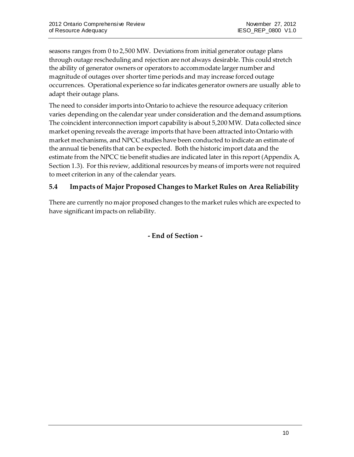seasons ranges from 0 to 2,500 MW. Deviations from initial generator outage plans through outage rescheduling and rejection are not always desirable. This could stretch the ability of generator owners or operators to accommodate larger number and magnitude of outages over shorter time periods and may increase forced outage occurrences. Operational experience so far indicates generator owners are usually able to adapt their outage plans.

The need to consider imports into Ontario to achieve the resource adequacy criterion varies depending on the calendar year under consideration and the demand assumptions. The coincident interconnection import capability is about 5,200 MW. Data collected since market opening reveals the average imports that have been attracted into Ontario with market mechanisms, and NPCC studies have been conducted to indicate an estimate of the annual tie benefits that can be expected. Both the historic import data and the estimate from the NPCC tie benefit studies are indicated later in this report (Appendix A, Section 1.3). For this review, additional resources by means of imports were not required to meet criterion in any of the calendar years.

# **5.4 Impacts of Major Proposed Changes to Market Rules on Area Reliability**

There are currently no major proposed changes to the market rules which are expected to have significant impacts on reliability.

# **- End of Section -**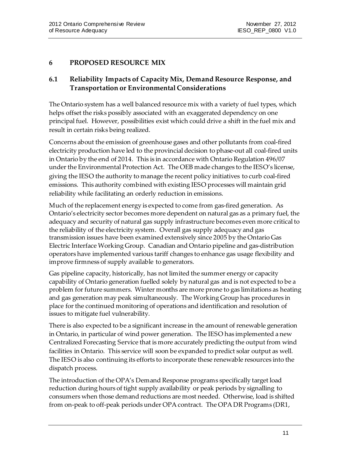# **6 PROPOSED RESOURCE MIX**

# **6.1 Reliability Impacts of Capacity Mix, Demand Resource Response, and Transportation or Environmental Considerations**

The Ontario system has a well balanced resource mix with a variety of fuel types, which helps offset the risks possibly associated with an exaggerated dependency on one principal fuel. However, possibilities exist which could drive a shift in the fuel mix and result in certain risks being realized.

Concerns about the emission of greenhouse gases and other pollutants from coal-fired electricity production have led to the provincial decision to phase-out all coal-fired units in Ontario by the end of 2014. This is in accordance with Ontario Regulation 496/07 under the Environmental Protection Act.The OEB made changes to the IESO's license, giving the IESO the authority to manage the recent policy initiatives to curb coal-fired emissions. This authority combined with existing IESO processes will maintain grid reliability while facilitating an orderly reduction in emissions.

Much of the replacement energy is expected to come from gas-fired generation. As Ontario's electricity sector becomes more dependent on natural gas as a primary fuel, the adequacy and security of natural gas supply infrastructure becomes even more critical to the reliability of the electricity system. Overall gas supply adequacy and gas transmission issues have been examined extensively since 2005 by the Ontario Gas Electric Interface Working Group. Canadian and Ontario pipeline and gas-distribution operators have implemented various tariff changes to enhance gas usage flexibility and improve firmness of supply available to generators.

Gas pipeline capacity, historically, has not limited the summer energy or capacity capability of Ontario generation fuelled solely by natural gas and is not expected to be a problem for future summers. Winter months are more prone to gas limitations as heating and gas generation may peak simultaneously. The Working Group has procedures in place for the continued monitoring of operations and identification and resolution of issues to mitigate fuel vulnerability.

There is also expected to be a significant increase in the amount of renewable generation in Ontario, in particular of wind power generation. The IESO has implemented a new Centralized Forecasting Service that is more accurately predicting the output from wind facilities in Ontario. This service will soon be expanded to predict solar output as well. The IESO is also continuing its efforts to incorporate these renewable resources into the dispatch process.

The introduction of the OPA's Demand Response programs specifically target load reduction during hours of tight supply availability or peak periods by signalling to consumers when those demand reductions are most needed. Otherwise, load is shifted from on-peak to off-peak periods under OPA contract. The OPA DR Programs (DR1,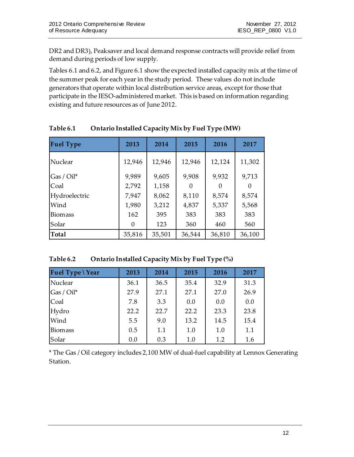DR2 and DR3), Peaksaver and local demand response contracts will provide relief from demand during periods of low supply.

Tables 6.1 and 6.2, and Figure 6.1 show the expected installed capacity mix at the time of the summer peak for each year in the study period. These values do not include generators that operate within local distribution service areas, except for those that participate in the IESO-administered market. This is based on information regarding existing and future resources as of June 2012.

| <b>Fuel Type</b> | 2013     | 2014   | 2015   | 2016   | 2017   |
|------------------|----------|--------|--------|--------|--------|
| Nuclear          | 12,946   | 12,946 | 12,946 | 12,124 | 11,302 |
| $Gas / Oil*$     | 9,989    | 9,605  | 9,908  | 9,932  | 9,713  |
| Coal             | 2,792    | 1,158  | 0      | 0      | 0      |
| Hydroelectric    | 7,947    | 8,062  | 8,110  | 8,574  | 8,574  |
| Wind             | 1,980    | 3,212  | 4,837  | 5,337  | 5,568  |
| <b>Biomass</b>   | 162      | 395    | 383    | 383    | 383    |
| Solar            | $\Omega$ | 123    | 360    | 460    | 560    |
| <b>Total</b>     | 35,816   | 35,501 | 36,544 | 36,810 | 36,100 |

# **Table 6.1 Ontario Installed Capacity Mix by Fuel Type (MW)**

|  | Table 6.2 | <b>Ontario Installed Capacity Mix by Fuel Type (%)</b> |
|--|-----------|--------------------------------------------------------|
|--|-----------|--------------------------------------------------------|

| Fuel Type \Year | 2013 | 2014 | 2015 | 2016 | 2017 |
|-----------------|------|------|------|------|------|
| Nuclear         | 36.1 | 36.5 | 35.4 | 32.9 | 31.3 |
| Gas / Oil*      | 27.9 | 27.1 | 27.1 | 27.0 | 26.9 |
| Coal            | 7.8  | 3.3  | 0.0  | 0.0  | 0.0  |
| Hydro           | 22.2 | 22.7 | 22.2 | 23.3 | 23.8 |
| Wind            | 5.5  | 9.0  | 13.2 | 14.5 | 15.4 |
| <b>Biomass</b>  | 0.5  | 1.1  | 1.0  | 1.0  | 1.1  |
| Solar           | 0.0  | 0.3  | 1.0  | 1.2  | 1.6  |

\* The Gas / Oil category includes 2,100 MW of dual-fuel capability at Lennox Generating Station.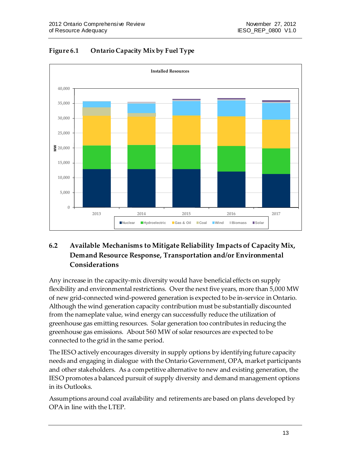

# **Figure 6.1 Ontario Capacity Mix by Fuel Type**

# **6.2 Available Mechanisms to Mitigate Reliability Impacts of Capacity Mix, Demand Resource Response, Transportation and/or Environmental Considerations**

Any increase in the capacity-mix diversity would have beneficial effects on supply flexibility and environmental restrictions. Over the next five years, more than 5,000 MW of new grid-connected wind-powered generation is expected to be in-service in Ontario. Although the wind generation capacity contribution must be substantially discounted from the nameplate value, wind energy can successfully reduce the utilization of greenhouse gas emitting resources. Solar generation too contributes in reducing the greenhouse gas emissions. About 560 MW of solar resources are expected to be connected to the grid in the same period.

The IESO actively encourages diversity in supply options by identifying future capacity needs and engaging in dialogue with the Ontario Government, OPA, market participants and other stakeholders. As a competitive alternative to new and existing generation, the IESO promotes a balanced pursuit of supply diversity and demand management options in its Outlooks.

Assumptions around coal availability and retirements are based on plans developed by OPA in line with the LTEP.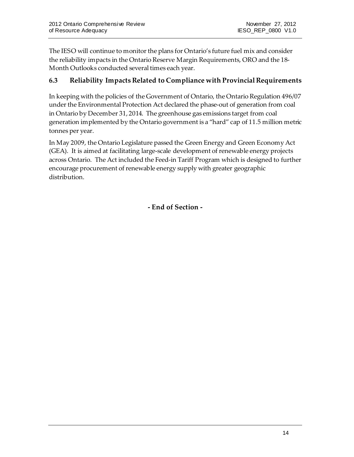The IESO will continue to monitor the plans for Ontario's future fuel mix and consider the reliability impacts in the Ontario Reserve Margin Requirements, ORO and the 18- Month Outlooks conducted several times each year.

# **6.3 Reliability Impacts Related to Compliance with Provincial Requirements**

In keeping with the policies of the Government of Ontario, the Ontario Regulation 496/07 under the Environmental Protection Act declared the phase-out of generation from coal in Ontario by December 31, 2014. The greenhouse gas emissions target from coal generation implemented by the Ontario government is a "hard" cap of 11.5 million metric tonnes per year.

In May 2009, the Ontario Legislature passed the Green Energy and Green Economy Act (GEA). It is aimed at facilitating large-scale development of renewable energy projects across Ontario. The Act included the Feed-in Tariff Program which is designed to further encourage procurement of renewable energy supply with greater geographic distribution.

**- End of Section -**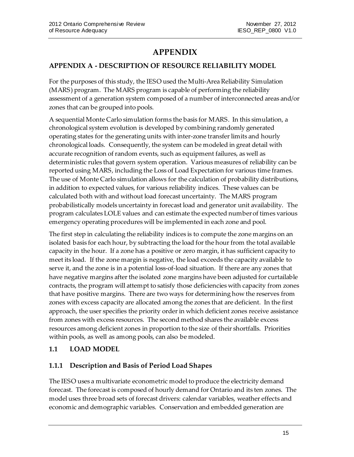# **APPENDIX**

# **APPENDIX A - DESCRIPTION OF RESOURCE RELIABILITY MODEL**

For the purposes of this study, the IESO used the Multi-Area Reliability Simulation (MARS) program. The MARS program is capable of performing the reliability assessment of a generation system composed of a number of interconnected areas and/or zones that can be grouped into pools.

A sequential Monte Carlo simulation forms the basis for MARS. In this simulation, a chronological system evolution is developed by combining randomly generated operating states for the generating units with inter-zone transfer limits and hourly chronological loads. Consequently, the system can be modeled in great detail with accurate recognition of random events, such as equipment failures, as well as deterministic rules that govern system operation. Various measures of reliability can be reported using MARS, including the Loss of Load Expectation for various time frames. The use of Monte Carlo simulation allows for the calculation of probability distributions, in addition to expected values, for various reliability indices. These values can be calculated both with and without load forecast uncertainty. The MARS program probabilistically models uncertainty in forecast load and generator unit availability. The program calculates LOLE values and can estimate the expected number of times various emergency operating procedures will be implemented in each zone and pool.

The first step in calculating the reliability indices is to compute the zone margins on an isolated basis for each hour, by subtracting the load for the hour from the total available capacity in the hour. If a zone has a positive or zero margin, it has sufficient capacity to meet its load. If the zone margin is negative, the load exceeds the capacity available to serve it, and the zone is in a potential loss-of-load situation. If there are any zones that have negative margins after the isolated zone margins have been adjusted for curtailable contracts, the program will attempt to satisfy those deficiencies with capacity from zones that have positive margins. There are two ways for determining how the reserves from zones with excess capacity are allocated among the zones that are deficient. In the first approach, the user specifies the priority order in which deficient zones receive assistance from zones with excess resources. The second method shares the available excess resources among deficient zones in proportion to the size of their shortfalls. Priorities within pools, as well as among pools, can also be modeled.

# **1.1 LOAD MODEL**

# **1.1.1 Description and Basis of Period Load Shapes**

The IESO uses a multivariate econometric model to produce the electricity demand forecast. The forecast is composed of hourly demand for Ontario and its ten zones. The model uses three broad sets of forecast drivers: calendar variables, weather effects and economic and demographic variables. Conservation and embedded generation are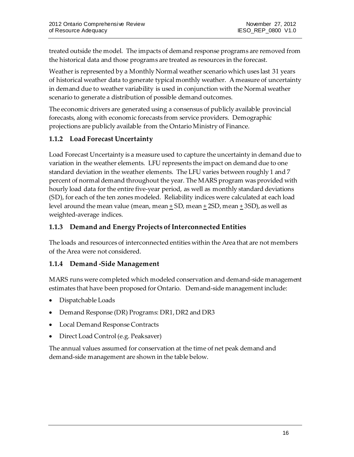treated outside the model. The impacts of demand response programs are removed from the historical data and those programs are treated as resources in the forecast.

Weather is represented by a Monthly Normal weather scenario which uses last 31 years of historical weather data to generate typical monthly weather. A measure of uncertainty in demand due to weather variability is used in conjunction with the Normal weather scenario to generate a distribution of possible demand outcomes.

The economic drivers are generated using a consensus of publicly available provincial forecasts, along with economic forecasts from service providers. Demographic projections are publicly available from the Ontario Ministry of Finance.

# **1.1.2 Load Forecast Uncertainty**

Load Forecast Uncertainty is a measure used to capture the uncertainty in demand due to variation in the weather elements. LFU represents the impact on demand due to one standard deviation in the weather elements. The LFU varies between roughly 1 and 7 percent of normal demand throughout the year. The MARS program was provided with hourly load data for the entire five-year period, as well as monthly standard deviations (SD), for each of the ten zones modeled. Reliability indices were calculated at each load level around the mean value (mean, mean  $\pm$  SD, mean  $\pm$  2SD, mean  $\pm$  3SD), as well as weighted-average indices.

# **1.1.3 Demand and Energy Projects of Interconnected Entities**

The loads and resources of interconnected entities within the Area that are not members of the Area were not considered.

# **1.1.4 Demand -Side Management**

MARS runs were completed which modeled conservation and demand-side management estimates that have been proposed for Ontario. Demand-side management include:

- Dispatchable Loads
- Demand Response (DR) Programs: DR1, DR2 and DR3
- Local Demand Response Contracts
- Direct Load Control (e.g. Peaksaver)

The annual values assumed for conservation at the time of net peak demand and demand-side management are shown in the table below.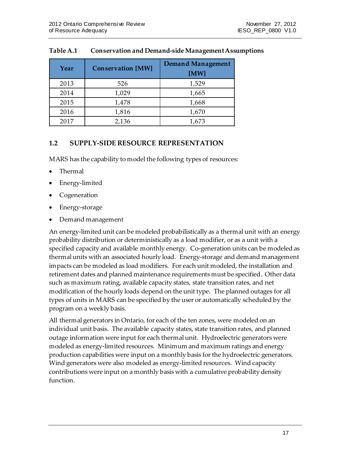| Year | <b>Conservation [MW]</b> | <b>Demand Management</b><br>[MW] |
|------|--------------------------|----------------------------------|
| 2013 | 526                      | 1,529                            |
| 2014 | 1,029                    | 1,665                            |
| 2015 | 1,478                    | 1,668                            |
| 2016 | 1,816                    | 1,670                            |
| 2017 | 2,136                    | 1,673                            |

#### **Table A.1 Conservation and Demand-sideManagement Assumptions**

# **1.2 SUPPLY-SIDE RESOURCE REPRESENTATION**

MARS has the capability to model the following types of resources:

- Thermal
- Energy-limited
- **Cogeneration**
- Energy-storage
- Demand management

An energy-limited unit can be modeled probabilistically as a thermal unit with an energy probability distribution or deterministically as a load modifier, or as a unit with a specified capacity and available monthly energy. Co-generation units can be modeled as thermal units with an associated hourly load. Energy-storage and demand management impacts can be modeled as load modifiers. For each unit modeled, the installation and retirement dates and planned maintenance requirements must be specified. Other data such as maximum rating, available capacity states, state transition rates, and net modification of the hourly loads depend on the unit type. The planned outages for all types of units in MARS can be specified by the user or automatically scheduled by the program on a weekly basis.

All thermal generators in Ontario, for each of the ten zones, were modeled on an individual unit basis. The available capacity states, state transition rates, and planned outage information were input for each thermal unit. Hydroelectric generators were modeled as energy-limited resources. Minimum and maximum ratings and energy production capabilities were input on a monthly basis for the hydroelectric generators. Wind generators were also modeled as energy-limited resources. Wind capacity contributions were input on a monthly basis with a cumulative probability density function.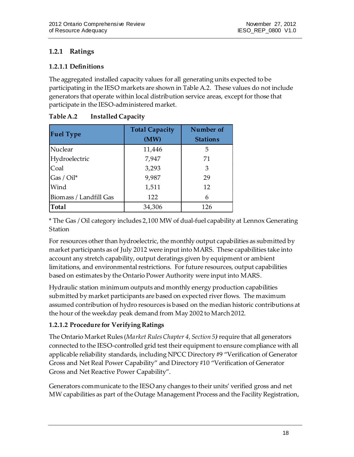# **1.2.1 Ratings**

# **1.2.1.1 Definitions**

The aggregated installed capacity values for all generating units expected to be participating in the IESO markets are shown in Table A.2. These values do not include generators that operate within local distribution service areas, except for those that participate in the IESO-administered market.

| <b>Fuel Type</b>       | <b>Total Capacity</b><br>(MW) | Number of<br><b>Stations</b> |
|------------------------|-------------------------------|------------------------------|
| Nuclear                | 11,446                        | 5                            |
| Hydroelectric          | 7,947                         | 71                           |
| Coal                   | 3,293                         | 3                            |
| $Gas / Oil*$           | 9,987                         | 29                           |
| Wind                   | 1,511                         | 12                           |
| Biomass / Landfill Gas | 122                           | 6                            |
| <b>Total</b>           | 34,306                        | 126                          |

**Table A.2 Installed Capacity** 

\* The Gas / Oil category includes 2,100 MW of dual-fuel capability at Lennox Generating **Station** 

For resources other than hydroelectric, the monthly output capabilities as submitted by market participants as of July 2012 were input into MARS. These capabilities take into account any stretch capability, output deratings given by equipment or ambient limitations, and environmental restrictions. For future resources, output capabilities based on estimates by the Ontario Power Authority were input into MARS.

Hydraulic station minimum outputs and monthly energy production capabilities submitted by market participants are based on expected river flows. The maximum assumed contribution of hydro resources is based on the median historic contributions at the hour of the weekday peak demand from May 2002 to March 2012.

# **1.2.1.2 Procedure for Verifying Ratings**

The Ontario Market Rules (*Market Rules Chapter 4, Section 5)* require that all generators connected to the IESO-controlled grid test their equipment to ensure compliance with all applicable reliability standards, including NPCC Directory #9 "Verification of Generator Gross and Net Real Power Capability" and Directory #10 "Verification of Generator Gross and Net Reactive Power Capability".

Generators communicate to the IESO any changes to their units' verified gross and net MW capabilities as part of the Outage Management Process and the Facility Registration,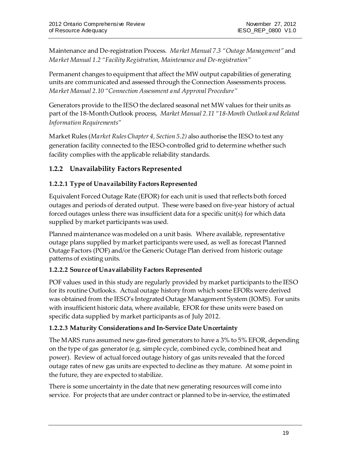Maintenance and De-registration Process. *Market Manual 7.3 "Outage Management"* and *Market Manual 1.2 "Facility Registration, Maintenance and De-registration"*

Permanent changes to equipment that affect the MW output capabilities of generating units are communicated and assessed through the Connection Assessments process. *Market Manual 2.10 "Connection Assessment and Approval Procedure"*

Generators provide to the IESO the declared seasonal net MW values for their units as part of the 18-Month Outlook process, *Market Manual 2.11 "18-Month Outlook and Related Information Requirements"*

Market Rules (*Market Rules Chapter 4, Section 5.2)* also authorise the IESO to test any generation facility connected to the IESO-controlled grid to determine whether such facility complies with the applicable reliability standards.

# **1.2.2 Unavailability Factors Represented**

# **1.2.2.1 Type of Unavailability Factors Represented**

Equivalent Forced Outage Rate (EFOR) for each unit is used that reflects both forced outages and periods of derated output. These were based on five-year history of actual forced outages unless there was insufficient data for a specific unit(s) for which data supplied by market participants was used.

Planned maintenance was modeled on a unit basis. Where available, representative outage plans supplied by market participants were used, as well as forecast Planned Outage Factors (POF) and/or the Generic Outage Plan derived from historic outage patterns of existing units.

# **1.2.2.2 Source ofUnavailability Factors Represented**

POF values used in this study are regularly provided by market participants to the IESO for its routine Outlooks. Actual outage history from which some EFORs were derived was obtained from the IESO's Integrated Outage Management System (IOMS). For units with insufficient historic data, where available, EFOR for these units were based on specific data supplied by market participants as of July 2012.

#### **1.2.2.3 Maturity Considerations and In-Service Date Uncertainty**

The MARS runs assumed new gas-fired generators to have a 3% to 5% EFOR, depending on the type of gas generator (e.g. simple cycle, combined cycle, combined heat and power). Review of actual forced outage history of gas units revealed that the forced outage rates of new gas units are expected to decline as they mature. At some point in the future, they are expected to stabilize.

There is some uncertainty in the date that new generating resources will come into service. For projects that are under contract or planned to be in-service, the estimated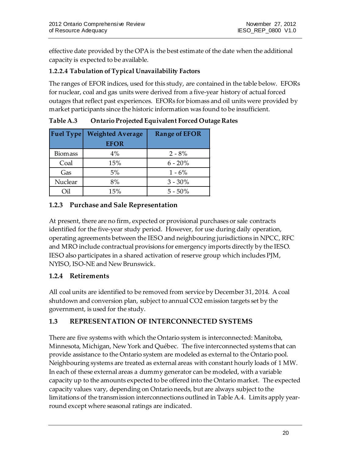effective date provided by the OPA is the best estimate of the date when the additional capacity is expected to be available.

# **1.2.2.4 Tabulation of Typical Unavailability Factors**

The ranges of EFOR indices, used for this study, are contained in the table below. EFORs for nuclear, coal and gas units were derived from a five-year history of actual forced outages that reflect past experiences. EFORs for biomass and oil units were provided by market participants since the historic information was found to be insufficient.

| <b>Fuel Type</b> | <b>Weighted Average</b><br><b>EFOR</b> | <b>Range of EFOR</b> |
|------------------|----------------------------------------|----------------------|
| <b>Biomass</b>   | $4\%$                                  | $2 - 8\%$            |
| Coal             | 15%                                    | $6 - 20%$            |
| Gas              | 5%                                     | $1 - 6\%$            |
| Nuclear          | 8%                                     | $3 - 30\%$           |
| าil              | 15%                                    | $5 - 50\%$           |

**Table A.3 Ontario Projected Equivalent Forced Outage Rates**

# **1.2.3 Purchase and Sale Representation**

At present, there are no firm, expected or provisional purchases or sale contracts identified for the five-year study period. However, for use during daily operation, operating agreements between the IESO and neighbouring jurisdictions in NPCC, RFC and MRO include contractual provisions for emergency imports directly by the IESO. IESO also participates in a shared activation of reserve group which includes PJM, NYISO, ISO-NE and New Brunswick.

# **1.2.4 Retirements**

All coal units are identified to be removed from service by December 31, 2014. A coal shutdown and conversion plan, subject to annual CO2 emission targets set by the government, is used for the study.

# **1.3 REPRESENTATION OF INTERCONNECTED SYSTEMS**

There are five systems with which the Ontario system is interconnected: Manitoba, Minnesota, Michigan, New York and Québec. The five interconnected systems that can provide assistance to the Ontario system are modeled as external to the Ontario pool. Neighbouring systems are treated as external areas with constant hourly loads of 1 MW. In each of these external areas a dummy generator can be modeled, with a variable capacity up to the amounts expected to be offered into the Ontario market. The expected capacity values vary, depending on Ontario needs, but are always subject to the limitations of the transmission interconnections outlined in Table A.4. Limits apply yearround except where seasonal ratings are indicated.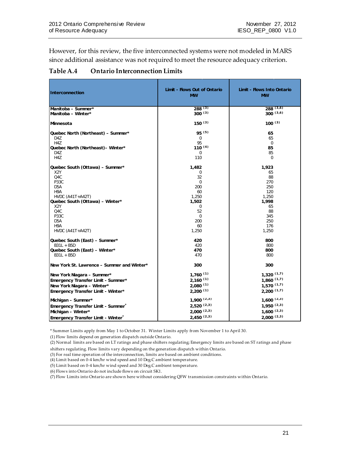However, for this review, the five interconnected systems were not modeled in MARS since additional assistance was not required to meet the resource adequacy criterion.

| Table A.4 | <b>Ontario Interconnection Limits</b> |  |
|-----------|---------------------------------------|--|
|           |                                       |  |

| Interconnection                                | Limit - Flows Out of Ontario<br><b>MW</b> | Limit - Flows Into Ontario<br><b>MW</b> |
|------------------------------------------------|-------------------------------------------|-----------------------------------------|
| Manitoba – Summer*                             | $288^{(3)}$                               | $288^{(3,6)}$                           |
| Manitoba – Winter*                             | $300^{(3)}$                               | 300 $(3, 6)$                            |
| Minnesota                                      | $150^{(3)}$                               | $100^{(3)}$                             |
| Quebec North (Northeast) – Summer*             | $95^{(5)}$                                | 65                                      |
| D4Z                                            | $\mathbf 0$                               | 65                                      |
| H4Z                                            | 95                                        | $\Omega$                                |
| Quebec North (Northeast) - Winter*             | $110^{(4)}$                               | 85                                      |
| D <sub>4</sub> Z<br>H4Z                        | 0<br>110                                  | 85<br>$\Omega$                          |
|                                                |                                           |                                         |
| Quebec South (Ottawa) - Summer*                | 1,482                                     | 1,923                                   |
| X2Y                                            | 0                                         | 65                                      |
| Q <sub>4</sub> C                               | 32                                        | 88                                      |
| <b>P33C</b>                                    | $\Omega$                                  | 270                                     |
| D5A                                            | 200                                       | 250                                     |
| H <sub>9</sub> A                               | 60                                        | 120                                     |
| HVDC $(A41T+A42T)$                             | 1,250                                     | 1,250                                   |
| Quebec South (Ottawa) - Winter*                | 1,502<br>$\Omega$                         | 1,998                                   |
| X <sub>2</sub> Y<br>Q <sub>4</sub> C           | 52                                        | 65<br>88                                |
| <b>P33C</b>                                    | 0                                         | 345                                     |
| D5A                                            | 200                                       | 250                                     |
| H <sub>9</sub> A                               | 60                                        | 176                                     |
| HVDC $(A41T+A42T)$                             | 1,250                                     | 1,250                                   |
| Quebec South (East) - Summer*                  | 420                                       | 800                                     |
| $B31L + B5D$                                   | 420                                       | 800                                     |
| Quebec South (East) - Winter*                  | 470                                       | 800                                     |
| B31L + B5D                                     | 470                                       | 800                                     |
| New York St. Lawrence – Summer and Winter*     | 300                                       | 300                                     |
| New York Niagara - Summer*                     | $1,760$ $(1)$                             | $1,320$ $(1,7)$                         |
| Emergency Transfer Limit - Summer*             | $2,160^{(1)}$                             | $1,860$ $(1,7)$                         |
| New York Niagara - Winter*                     | $2,080$ (1)                               | $1,570$ $(1,7)$                         |
| Emergency Transfer Limit - Winter*             | $2,200$ <sup>(1)</sup>                    | $2,200$ $(1,7)$                         |
| Michigan - Summer*                             | $1,900^{(2,3)}$                           | $1,600^{(2,3)}$                         |
| Emergency Transfer Limit - Summer              | $2,520^{(2,3)}$                           | $1,950^{(2,3)}$                         |
| Michigan - Winter*                             | $2,000$ $(2,3)$                           | $1,600^{(2,3)}$                         |
| Emergency Transfer Limit - Winter <sup>®</sup> | $2,450^{(2,3)}$                           | $2,000$ $(2,3)$                         |

\* Summer Limits apply from May 1 to October 31. Winter Limits apply from November 1 to April 30.

(1) Flow limits depend on generation dispatch outside Ontario.

(2) Normal limits are based on LT ratings and phase shifters regulating; Emergency limits are based on ST ratings and phase

shifters regulating. Flow limits vary depending on the generation dispatch within Ontario.

(3) For real time operation of the interconnection, limits are based on ambient conditions.

(4) Limit based on 0-4 km/hr wind speed and 10 Deg.C ambient temperature.

(5) Limit based on 0-4 km/hr wind speed and 30 Deg.C ambient temperature.

(6) Flows into Ontario do not include flows on circuit SK1.

(7) Flow Limits into Ontario are shown here without considering QFW transmission constraints within Ontario.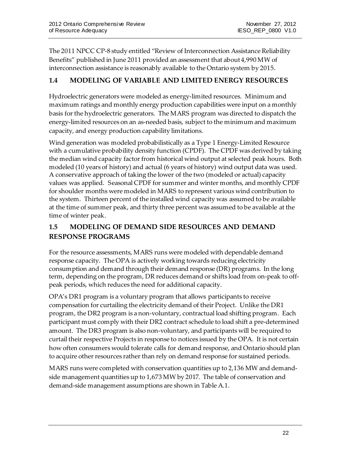The 2011 NPCC CP-8 study entitled "Review of Interconnection Assistance Reliability Benefits" published in June 2011 provided an assessment that about 4,990 MW of interconnection assistance is reasonably available to the Ontario system by 2015.

# **1.4 MODELING OF VARIABLE AND LIMITED ENERGY RESOURCES**

Hydroelectric generators were modeled as energy-limited resources. Minimum and maximum ratings and monthly energy production capabilities were input on a monthly basis for the hydroelectric generators. The MARS program was directed to dispatch the energy-limited resources on an as-needed basis, subject to the minimum and maximum capacity, and energy production capability limitations.

Wind generation was modeled probabilistically as a Type 1 Energy-Limited Resource with a cumulative probability density function (CPDF). The CPDF was derived by taking the median wind capacity factor from historical wind output at selected peak hours. Both modeled (10 years of history) and actual (6 years of history) wind output data was used. A conservative approach of taking the lower of the two (modeled or actual) capacity values was applied. Seasonal CPDF for summer and winter months, and monthly CPDF for shoulder months were modeled in MARS to represent various wind contribution to the system. Thirteen percent of the installed wind capacity was assumed to be available at the time of summer peak, and thirty three percent was assumed to be available at the time of winter peak.

# **1.5 MODELING OF DEMAND SIDE RESOURCES AND DEMAND RESPONSE PROGRAMS**

For the resource assessments, MARS runs were modeled with dependable demand response capacity. The OPA is actively working towards reducing electricity consumption and demand through their demand response (DR) programs. In the long term, depending on the program, DR reduces demand or shifts load from on-peak to offpeak periods, which reduces the need for additional capacity.

OPA's DR1 program is a voluntary program that allows participants to receive compensation for curtailing the electricity demand of their Project. Unlike the DR1 program, the DR2 program is a non-voluntary, contractual load shifting program. Each participant must comply with their DR2 contract schedule to load shift a pre-determined amount. The DR3 program is also non-voluntary, and participants will be required to curtail their respective Projects in response to notices issued by the OPA. It is not certain how often consumers would tolerate calls for demand response, and Ontario should plan to acquire other resources rather than rely on demand response for sustained periods.

MARS runs were completed with conservation quantities up to 2,136 MW and demandside management quantities up to 1,673 MW by 2017. The table of conservation and demand-side management assumptions are shown in Table A.1.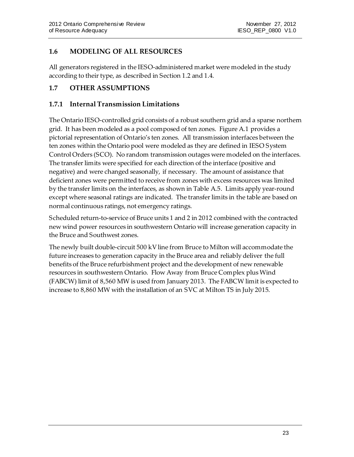# **1.6 MODELING OF ALL RESOURCES**

All generators registered in the IESO-administered market were modeled in the study according to their type, as described in Section 1.2 and 1.4.

# **1.7 OTHER ASSUMPTIONS**

### **1.7.1 Internal Transmission Limitations**

The Ontario IESO-controlled grid consists of a robust southern grid and a sparse northern grid. It has been modeled as a pool composed of ten zones. Figure A.1 provides a pictorial representation of Ontario's ten zones. All transmission interfaces between the ten zones within the Ontario pool were modeled as they are defined in IESO System Control Orders (SCO). No random transmission outages were modeled on the interfaces. The transfer limits were specified for each direction of the interface (positive and negative) and were changed seasonally, if necessary. The amount of assistance that deficient zones were permitted to receive from zones with excess resources was limited by the transfer limits on the interfaces, as shown in Table A.5. Limits apply year-round except where seasonal ratings are indicated. The transfer limits in the table are based on normal continuous ratings, not emergency ratings.

Scheduled return-to-service of Bruce units 1 and 2 in 2012 combined with the contracted new wind power resources in southwestern Ontario will increase generation capacity in the Bruce and Southwest zones.

The newly built double-circuit 500 kV line from Bruce to Milton will accommodate the future increases to generation capacity in the Bruce area and reliably deliver the full benefits of the Bruce refurbishment project and the development of new renewable resources in southwestern Ontario. Flow Away from Bruce Complex plus Wind (FABCW) limit of 8,560 MW is used from January 2013. The FABCW limit is expected to increase to 8,860 MW with the installation of an SVC at Milton TS in July 2015.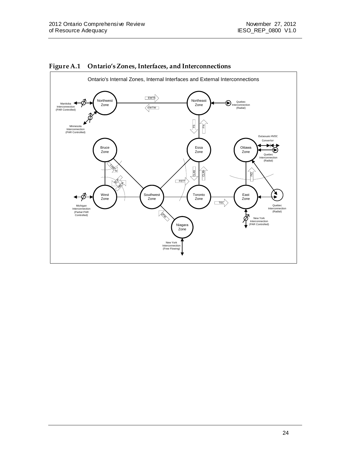

**Figure A.1 Ontario's Zones, Interfaces, and Interconnections**